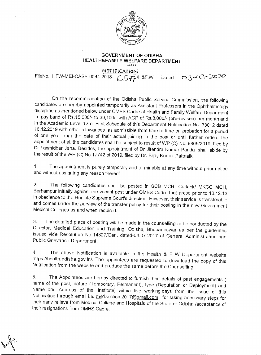

## GOVERNMENT OF ODISHA HEALTH&FAMILY WELFARE DEPARTMENT

**NOTIFICATION** 

FileNo. HFW-MEI-CASE-0044-2018-  $6577$ /H&F.W. Dated 03-03-2020

On the recommendation of the Odisha Public Service Commission, the following candidates are hereby appointed temporarily as Assistant Professors in the Ophthalmology discipline as mentioned below under OMES Cadre of Health and Family Welfare Department in pay band of Rs.15,600/- to 39,100/- with AGP of Rs.8,000/- (pre-revised) per month and in the Academic Level 12 of First Schedule of this Department Notification No. 33012 dated 16.12.2019 with other allowances as admissible from time to time on probation for a period of one year from the date of their actual joining in the post or until further orders.The appointment of all the candidates shall be subject to result of WP (C) No. 9805/2019, filed by Dr Laxmidhar Jena. Besides, the appointment of Dr Jitendra Kumar Panda shall abide by the result of the WP (C) No 17742 of 2019, filed by Dr. Bijay Kumar Pattnaik.

1. The appointment is purely temporary and terminable at any time without prior notice and without assigning any reason thereof.

2. The following candidates shall be posted in SCB MCH, Cuttack/ MKCG MCH, Berhampur initially against the vacant post under OMES Cadre that arose prior to 18.12.13 in obedience to the Hon'ble Supreme Court's direction. However, their service is transferable and comes under the purview of the transfer policy for their posting in the new Government Medical Colleges as and when required.

3. The detailed place of posting will be made in the counselling to be conducted by the Director, Medical Education and Training, Odisha, Bhubaneswar as per the guidelines issued vide Resolution No-14327/Gen, dated-04.07.2017 of General Administration and Public Grievance Department.

4. The above Notification is available in the Health & F W Department website https://health.odisha.gov.in/. The appointees are requested to download the copy of this Notification from the website and produce the same before the Counselling.

5. The Appointees are hereby directed to furnish their details of past engagements name of the post, nature (Temporary, Permanent), type (Deputation or Deployment) and Name and Address of the Institute) within five working days from the issue of this Notification through email i.e. me1section.2017@gmail.com for taking necessary steps for their early relieve from Medical College and Hospitals of the State of Odisha /acceptance of their resignations from OMHS Cadre.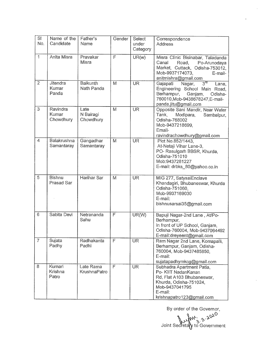| SI<br>No.      | Name of the<br>Candidate       | Father's<br>Name               | Gender                  | Select<br>under<br>Category | Correspondence<br>Address                                                                                                                                               |
|----------------|--------------------------------|--------------------------------|-------------------------|-----------------------------|-------------------------------------------------------------------------------------------------------------------------------------------------------------------------|
| $\mathbf{1}$   | Anita Misra                    | Pravakar<br>Misra              | $\overline{\mathsf{F}}$ | UR(w)                       | Misra Clinic Bisinabar, Taladanda<br>Canal<br>Road,<br>Po-Arunodaya<br>Market, Cuttack, Odisha-753012,<br>Mob-9937174073,<br>E-mail-<br>anitmishra@gmail.com            |
| $\overline{2}$ | Jitendra<br>Kumar<br>Panda     | <b>Baikunth</b><br>Nath Panda  | M                       | $\overline{\text{UR}}$      | $3^{rd}$<br>Gajapati<br>Nagar,<br>Lane,<br>Engineering School Main Road,<br>Berhampur,<br>Ganjam,<br>Odisha-<br>760010, Mob-9438678247, E-mail-<br>panda.jitu@gmail.com |
| 3              | Ravindra<br>Kumar<br>Chowdhury | Late<br>N Bairagi<br>Chowdhury | M                       | <b>UR</b>                   | Opposite Sani Mandir, Near Water<br>Tank,<br>Modipara,<br>Sambalpur,<br>Odisha-768002<br>Mob-9437218699,<br>Email-<br>ravindrachowdhury@gmail.com                       |
| $\overline{4}$ | Balakrushna<br>Samantaray      | Gangadhar<br>Samantaray        | M                       | <b>UR</b>                   | Plot No.852/1443.<br>At-Netaji Vihar Lane-3,<br>PO-Rasulgarh BBSR, Khurda,<br>Odisha-751010<br>Mob:9437281227<br>E-mail: drbks 80@yahoo.co.in                           |
| 5              | <b>Bishnu</b><br>Prasad Sar    | Harihar Sar                    | M                       | <b>UR</b>                   | MIG 277, SatysaiEnclave<br>Khandagiri, Bhubaneswar, Khurda<br>Odisha-751060,<br>Mob-9937169030<br>E-mail:<br>bishnusarsai35@gmail.com                                   |
| 6              | Sabita Devi                    | Netrananda<br>Sahu             | F                       | UR(W)                       | Bapuji Nagar-2nd Lane, At/Po-<br>Berhampur,<br>In front of UP School, Ganjam,<br>Odisha-760004, Mob-9437064492<br>E-mail:dreyeent@gmail.com                             |
| $\overline{7}$ | Sujata<br>Padhy                | Radhakanta<br>Padhi            | F                       | <b>UR</b>                   | Ram Nagar 2nd Lane, Komapalli,<br>Berhampur, Ganjam, Odisha-<br>760004, Mob-9437485850,<br>E-mail:<br>sujatapadhymkcg@gmail.com                                         |
| 8              | Kumari<br>Krishna<br>Patro     | Late Rama<br>KrushnaPatro      | $\mathsf{F}$            | <b>UR</b>                   | Subhadra Apartment Patia,<br>Po- KIIT NadanKanan<br>Rd, Flat A103 Bhubaneswar,<br>Khurda, Odisha-751024,<br>Mob-9437041795<br>E-mail:<br>krishnapatro123@gmail.com      |

By order of the Governor,

 $\bar{z}$ 

 $3.3$   $8$ <sup>0</sup> Joint Secreta $\gamma$  to Government